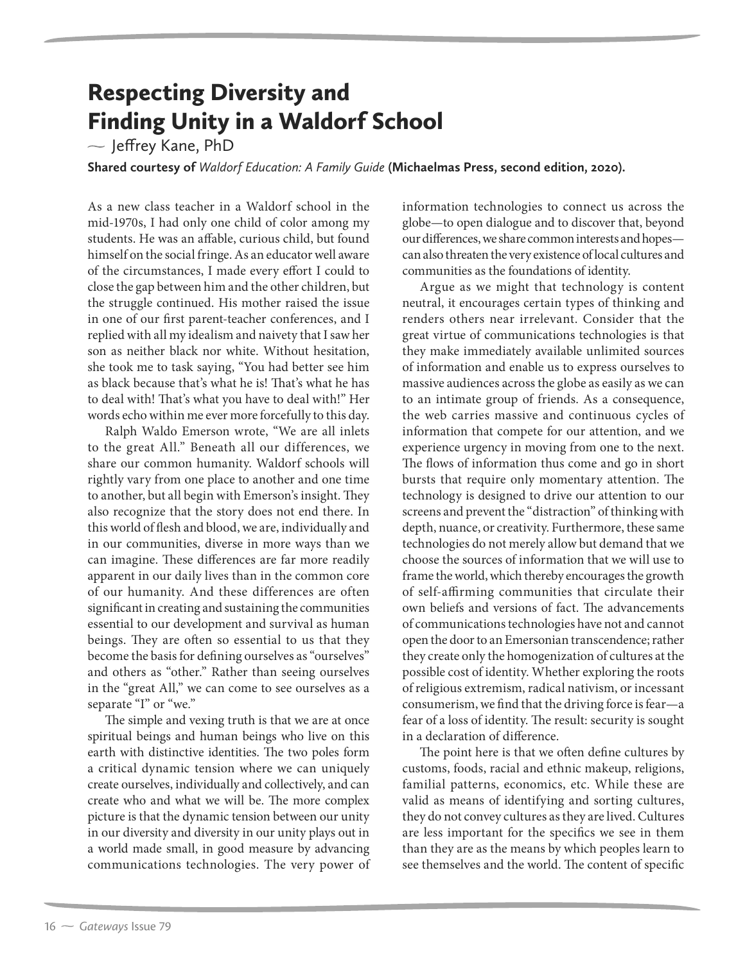## Respecting Diversity and Finding Unity in a Waldorf School

 $\sim$  Jeffrey Kane, PhD

**Shared courtesy of** *Waldorf Education: A Family Guide* **(Michaelmas Press, second edition, 2020).**

As a new class teacher in a Waldorf school in the mid-1970s, I had only one child of color among my students. He was an affable, curious child, but found himself on the social fringe. As an educator well aware of the circumstances, I made every effort I could to close the gap between him and the other children, but the struggle continued. His mother raised the issue in one of our first parent-teacher conferences, and I replied with all my idealism and naivety that I saw her son as neither black nor white. Without hesitation, she took me to task saying, "You had better see him as black because that's what he is! That's what he has to deal with! That's what you have to deal with!" Her words echo within me ever more forcefully to this day.

Ralph Waldo Emerson wrote, "We are all inlets to the great All." Beneath all our differences, we share our common humanity. Waldorf schools will rightly vary from one place to another and one time to another, but all begin with Emerson's insight. They also recognize that the story does not end there. In this world of flesh and blood, we are, individually and in our communities, diverse in more ways than we can imagine. These differences are far more readily apparent in our daily lives than in the common core of our humanity. And these differences are often significant in creating and sustaining the communities essential to our development and survival as human beings. They are often so essential to us that they become the basis for defining ourselves as "ourselves" and others as "other." Rather than seeing ourselves in the "great All," we can come to see ourselves as a separate "I" or "we."

The simple and vexing truth is that we are at once spiritual beings and human beings who live on this earth with distinctive identities. The two poles form a critical dynamic tension where we can uniquely create ourselves, individually and collectively, and can create who and what we will be. The more complex picture is that the dynamic tension between our unity in our diversity and diversity in our unity plays out in a world made small, in good measure by advancing communications technologies. The very power of information technologies to connect us across the globe—to open dialogue and to discover that, beyond our differences, we share common interests and hopes can also threaten the very existence of local cultures and communities as the foundations of identity.

Argue as we might that technology is content neutral, it encourages certain types of thinking and renders others near irrelevant. Consider that the great virtue of communications technologies is that they make immediately available unlimited sources of information and enable us to express ourselves to massive audiences across the globe as easily as we can to an intimate group of friends. As a consequence, the web carries massive and continuous cycles of information that compete for our attention, and we experience urgency in moving from one to the next. The flows of information thus come and go in short bursts that require only momentary attention. The technology is designed to drive our attention to our screens and prevent the "distraction" of thinking with depth, nuance, or creativity. Furthermore, these same technologies do not merely allow but demand that we choose the sources of information that we will use to frame the world, which thereby encourages the growth of self-affirming communities that circulate their own beliefs and versions of fact. The advancements of communications technologies have not and cannot open the door to an Emersonian transcendence; rather they create only the homogenization of cultures at the possible cost of identity. Whether exploring the roots of religious extremism, radical nativism, or incessant consumerism, we find that the driving force is fear—a fear of a loss of identity. The result: security is sought in a declaration of difference.

The point here is that we often define cultures by customs, foods, racial and ethnic makeup, religions, familial patterns, economics, etc. While these are valid as means of identifying and sorting cultures, they do not convey cultures as they are lived. Cultures are less important for the specifics we see in them than they are as the means by which peoples learn to see themselves and the world. The content of specific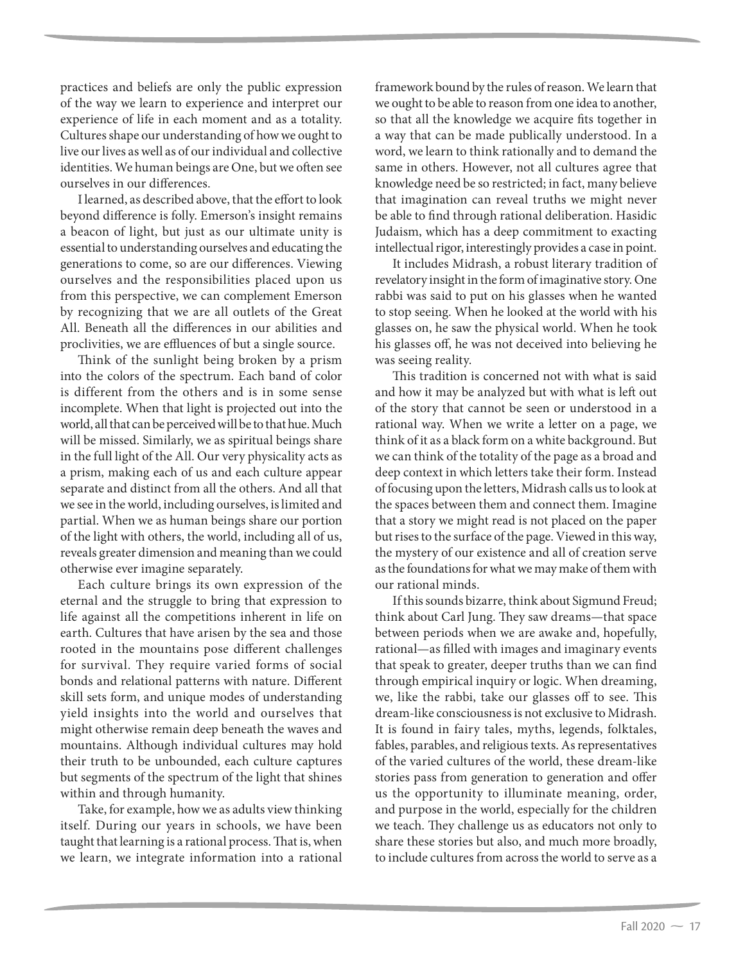practices and beliefs are only the public expression of the way we learn to experience and interpret our experience of life in each moment and as a totality. Cultures shape our understanding of how we ought to live our lives as well as of our individual and collective identities. We human beings are One, but we often see ourselves in our differences.

I learned, as described above, that the effort to look beyond difference is folly. Emerson's insight remains a beacon of light, but just as our ultimate unity is essential to understanding ourselves and educating the generations to come, so are our differences. Viewing ourselves and the responsibilities placed upon us from this perspective, we can complement Emerson by recognizing that we are all outlets of the Great All. Beneath all the differences in our abilities and proclivities, we are effluences of but a single source.

Think of the sunlight being broken by a prism into the colors of the spectrum. Each band of color is different from the others and is in some sense incomplete. When that light is projected out into the world, all that can be perceived will be to that hue. Much will be missed. Similarly, we as spiritual beings share in the full light of the All. Our very physicality acts as a prism, making each of us and each culture appear separate and distinct from all the others. And all that we see in the world, including ourselves, is limited and partial. When we as human beings share our portion of the light with others, the world, including all of us, reveals greater dimension and meaning than we could otherwise ever imagine separately.

Each culture brings its own expression of the eternal and the struggle to bring that expression to life against all the competitions inherent in life on earth. Cultures that have arisen by the sea and those rooted in the mountains pose different challenges for survival. They require varied forms of social bonds and relational patterns with nature. Different skill sets form, and unique modes of understanding yield insights into the world and ourselves that might otherwise remain deep beneath the waves and mountains. Although individual cultures may hold their truth to be unbounded, each culture captures but segments of the spectrum of the light that shines within and through humanity.

Take, for example, how we as adults view thinking itself. During our years in schools, we have been taught that learning is a rational process. That is, when we learn, we integrate information into a rational

framework bound by the rules of reason. We learn that we ought to be able to reason from one idea to another, so that all the knowledge we acquire fits together in a way that can be made publically understood. In a word, we learn to think rationally and to demand the same in others. However, not all cultures agree that knowledge need be so restricted; in fact, many believe that imagination can reveal truths we might never be able to find through rational deliberation. Hasidic Judaism, which has a deep commitment to exacting intellectual rigor, interestingly provides a case in point.

It includes Midrash, a robust literary tradition of revelatory insight in the form of imaginative story. One rabbi was said to put on his glasses when he wanted to stop seeing. When he looked at the world with his glasses on, he saw the physical world. When he took his glasses off, he was not deceived into believing he was seeing reality.

This tradition is concerned not with what is said and how it may be analyzed but with what is left out of the story that cannot be seen or understood in a rational way. When we write a letter on a page, we think of it as a black form on a white background. But we can think of the totality of the page as a broad and deep context in which letters take their form. Instead of focusing upon the letters, Midrash calls us to look at the spaces between them and connect them. Imagine that a story we might read is not placed on the paper but rises to the surface of the page. Viewed in this way, the mystery of our existence and all of creation serve as the foundations for what we may make of them with our rational minds.

If this sounds bizarre, think about Sigmund Freud; think about Carl Jung. They saw dreams—that space between periods when we are awake and, hopefully, rational—as filled with images and imaginary events that speak to greater, deeper truths than we can find through empirical inquiry or logic. When dreaming, we, like the rabbi, take our glasses off to see. This dream-like consciousness is not exclusive to Midrash. It is found in fairy tales, myths, legends, folktales, fables, parables, and religious texts. As representatives of the varied cultures of the world, these dream-like stories pass from generation to generation and offer us the opportunity to illuminate meaning, order, and purpose in the world, especially for the children we teach. They challenge us as educators not only to share these stories but also, and much more broadly, to include cultures from across the world to serve as a